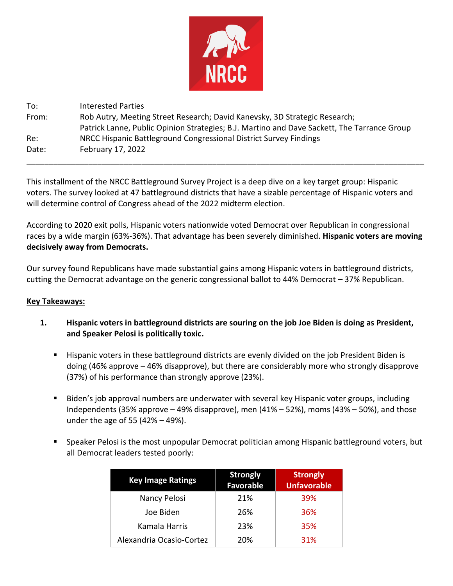

| To:   | <b>Interested Parties</b>                                                                   |  |
|-------|---------------------------------------------------------------------------------------------|--|
| From: | Rob Autry, Meeting Street Research; David Kanevsky, 3D Strategic Research;                  |  |
|       | Patrick Lanne, Public Opinion Strategies; B.J. Martino and Dave Sackett, The Tarrance Group |  |
| Re:   | NRCC Hispanic Battleground Congressional District Survey Findings                           |  |
| Date: | February 17, 2022                                                                           |  |

This installment of the NRCC Battleground Survey Project is a deep dive on a key target group: Hispanic voters. The survey looked at 47 battleground districts that have a sizable percentage of Hispanic voters and will determine control of Congress ahead of the 2022 midterm election.

\_\_\_\_\_\_\_\_\_\_\_\_\_\_\_\_\_\_\_\_\_\_\_\_\_\_\_\_\_\_\_\_\_\_\_\_\_\_\_\_\_\_\_\_\_\_\_\_\_\_\_\_\_\_\_\_\_\_\_\_\_\_\_\_\_\_\_\_\_\_\_\_\_\_\_\_\_\_\_\_\_\_\_\_\_\_\_\_\_\_

According to 2020 exit polls, Hispanic voters nationwide voted Democrat over Republican in congressional races by a wide margin (63%-36%). That advantage has been severely diminished. **Hispanic voters are moving decisively away from Democrats.**

Our survey found Republicans have made substantial gains among Hispanic voters in battleground districts, cutting the Democrat advantage on the generic congressional ballot to 44% Democrat – 37% Republican.

## **Key Takeaways:**

- **1. Hispanic voters in battleground districts are souring on the job Joe Biden is doing as President, and Speaker Pelosi is politically toxic.**
	- Hispanic voters in these battleground districts are evenly divided on the job President Biden is doing (46% approve – 46% disapprove), but there are considerably more who strongly disapprove (37%) of his performance than strongly approve (23%).
	- Biden's job approval numbers are underwater with several key Hispanic voter groups, including Independents (35% approve  $-49%$  disapprove), men (41%  $-52%$ ), moms (43%  $-50%$ ), and those under the age of 55 (42% – 49%).
	- Speaker Pelosi is the most unpopular Democrat politician among Hispanic battleground voters, but all Democrat leaders tested poorly:

| <b>Key Image Ratings</b> | <b>Strongly</b><br><b>Favorable</b> | <b>Strongly</b><br><b>Unfavorable</b> |
|--------------------------|-------------------------------------|---------------------------------------|
| Nancy Pelosi             | 21%                                 | 39%                                   |
| Joe Biden                | 26%                                 | 36%                                   |
| Kamala Harris            | 23%                                 | 35%                                   |
| Alexandria Ocasio-Cortez | 20%                                 | 31%                                   |